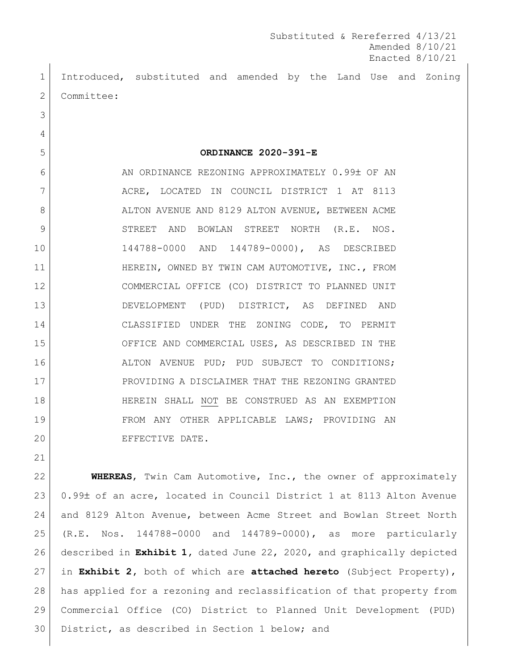Substituted & Rereferred 4/13/21 Amended 8/10/21 Enacted 8/10/21

 Introduced, substituted and amended by the Land Use and Zoning 2 | Committee:

 **ORDINANCE 2020-391-E** 6 AN ORDINANCE REZONING APPROXIMATELY 0.99± OF AN 7 ACRE, LOCATED IN COUNCIL DISTRICT 1 AT 8113 8 ALTON AVENUE AND 8129 ALTON AVENUE, BETWEEN ACME STREET AND BOWLAN STREET NORTH (R.E. NOS. 144788-0000 AND 144789-0000), AS DESCRIBED 11 | HEREIN, OWNED BY TWIN CAM AUTOMOTIVE, INC., FROM COMMERCIAL OFFICE (CO) DISTRICT TO PLANNED UNIT DEVELOPMENT (PUD) DISTRICT, AS DEFINED AND CLASSIFIED UNDER THE ZONING CODE, TO PERMIT OFFICE AND COMMERCIAL USES, AS DESCRIBED IN THE 16 ALTON AVENUE PUD; PUD SUBJECT TO CONDITIONS; PROVIDING A DISCLAIMER THAT THE REZONING GRANTED 18 HEREIN SHALL NOT BE CONSTRUED AS AN EXEMPTION FROM ANY OTHER APPLICABLE LAWS; PROVIDING AN EFFECTIVE DATE.

 **WHEREAS**, Twin Cam Automotive, Inc., the owner of approximately 23 0.99± of an acre, located in Council District 1 at 8113 Alton Avenue and 8129 Alton Avenue, between Acme Street and Bowlan Street North (R.E. Nos. 144788-0000 and 144789-0000), as more particularly described in **Exhibit 1,** dated June 22, 2020, and graphically depicted in **Exhibit 2,** both of which are **attached hereto** (Subject Property), has applied for a rezoning and reclassification of that property from Commercial Office (CO) District to Planned Unit Development (PUD) District, as described in Section 1 below; and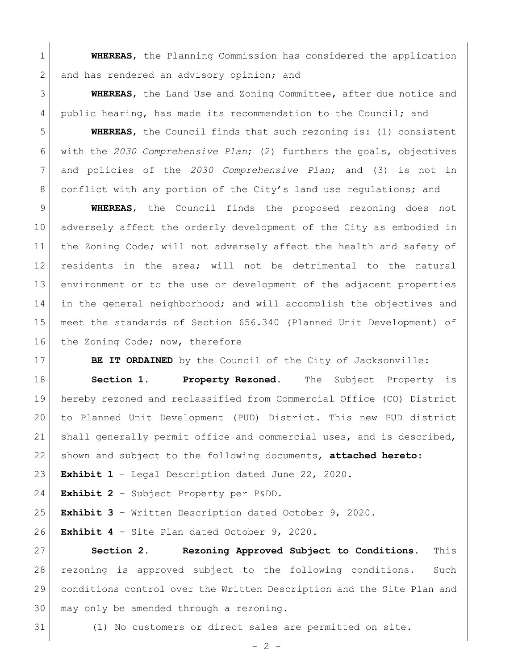**WHEREAS**, the Planning Commission has considered the application 2 and has rendered an advisory opinion; and

 **WHEREAS**, the Land Use and Zoning Committee, after due notice and public hearing, has made its recommendation to the Council; and

 **WHEREAS**, the Council finds that such rezoning is: (1) consistent with the *2030 Comprehensive Plan*; (2) furthers the goals, objectives and policies of the *2030 Comprehensive Plan*; and (3) is not in 8 conflict with any portion of the City's land use regulations; and

 **WHEREAS**, the Council finds the proposed rezoning does not adversely affect the orderly development of the City as embodied in 11 | the Zoning Code; will not adversely affect the health and safety of residents in the area; will not be detrimental to the natural environment or to the use or development of the adjacent properties in the general neighborhood; and will accomplish the objectives and meet the standards of Section 656.340 (Planned Unit Development) of 16 the Zoning Code; now, therefore

**BE IT ORDAINED** by the Council of the City of Jacksonville:

 **Section 1. Property Rezoned.** The Subject Property is hereby rezoned and reclassified from Commercial Office (CO) District to Planned Unit Development (PUD) District. This new PUD district shall generally permit office and commercial uses, and is described, shown and subject to the following documents, **attached hereto**:

**Exhibit 1** – Legal Description dated June 22, 2020.

**Exhibit 2** – Subject Property per P&DD.

**Exhibit 3** – Written Description dated October 9, 2020.

**Exhibit 4** – Site Plan dated October 9, 2020.

 **Section 2. Rezoning Approved Subject to Conditions.** This rezoning is approved subject to the following conditions. Such conditions control over the Written Description and the Site Plan and may only be amended through a rezoning.

(1) No customers or direct sales are permitted on site.

 $-2 -$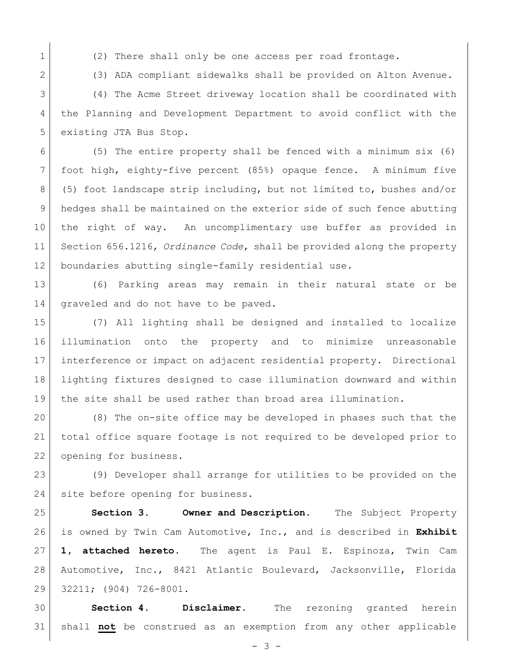1 (2) There shall only be one access per road frontage.

2 (3) ADA compliant sidewalks shall be provided on Alton Avenue.

 (4) The Acme Street driveway location shall be coordinated with the Planning and Development Department to avoid conflict with the 5 existing JTA Bus Stop.

 (5) The entire property shall be fenced with a minimum six (6) foot high, eighty-five percent (85%) opaque fence. A minimum five (5) foot landscape strip including, but not limited to, bushes and/or hedges shall be maintained on the exterior side of such fence abutting the right of way. An uncomplimentary use buffer as provided in Section 656.1216, *Ordinance Code*, shall be provided along the property 12 boundaries abutting single-family residential use.

 (6) Parking areas may remain in their natural state or be 14 graveled and do not have to be paved.

 (7) All lighting shall be designed and installed to localize illumination onto the property and to minimize unreasonable interference or impact on adjacent residential property. Directional lighting fixtures designed to case illumination downward and within the site shall be used rather than broad area illumination.

 (8) The on-site office may be developed in phases such that the total office square footage is not required to be developed prior to 22 opening for business.

 (9) Developer shall arrange for utilities to be provided on the 24 site before opening for business.

 **Section 3. Owner and Description.** The Subject Property is owned by Twin Cam Automotive, Inc., and is described in **Exhibit 1, attached hereto.** The agent is Paul E. Espinoza, Twin Cam Automotive, Inc., 8421 Atlantic Boulevard, Jacksonville, Florida 32211; (904) 726-8001.

 **Section 4. Disclaimer.** The rezoning granted herein shall **not** be construed as an exemption from any other applicable

 $- 3 -$